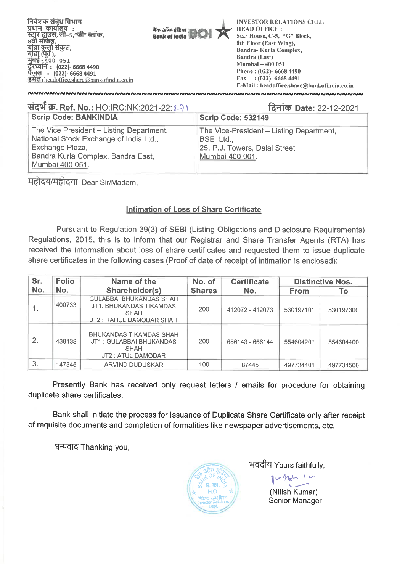

| संदर्भ क्र. Ref. No.: HO:IRC:NK:2021-22: 2 71                                                                                                                  | दिनांक Date: 22-12-2021                                                                                    |  |  |  |  |  |
|----------------------------------------------------------------------------------------------------------------------------------------------------------------|------------------------------------------------------------------------------------------------------------|--|--|--|--|--|
| <b>Scrip Code: BANKINDIA</b>                                                                                                                                   | <b>Scrip Code: 532149</b>                                                                                  |  |  |  |  |  |
| The Vice President - Listing Department,<br>National Stock Exchange of India Ltd.,<br>Exchange Plaza,<br>Bandra Kurla Complex, Bandra East,<br>Mumbai 400 051. | The Vice-President - Listing Department,<br>BSE Ltd.,<br>25, P.J. Towers, Dalal Street,<br>Mumbai 400 001. |  |  |  |  |  |

महोदय/महोदया Dear Sir/Madam,

### **Intimation of Loss of Share Certificate**

Pursuant to Regulation 39(3) of SEBI (Listing Obligations and Disclosure Requirements) Regulations, 2015, this is to inform that our Registrar and Share Transfer Agents (RTA) has received the information about loss of share certificates and requested them to issue duplicate share certificates in the following cases (Proof of date of receipt of intimation is enclosed):

| Sr. | <b>Folio</b> | Name of the                                                                                          | No. of        | <b>Certificate</b> | <b>Distinctive Nos.</b> |           |  |
|-----|--------------|------------------------------------------------------------------------------------------------------|---------------|--------------------|-------------------------|-----------|--|
| No. | No.          | Shareholder(s)                                                                                       | <b>Shares</b> | No.                | <b>From</b>             | Τo        |  |
|     | 400733       | <b>GULABBAI BHUKANDAS SHAH</b><br>JT1: BHUKANDAS TIKAMDAS<br><b>SHAH</b><br>JT2 : RAHUL DAMODAR SHAH | 200           | 412072 - 412073    | 530197101               | 530197300 |  |
| 2.  | 438138       | <b>BHUKANDAS TIKAMDAS SHAH</b><br>JT1: GULABBAI BHUKANDAS<br><b>SHAH</b><br>JT2 : ATUL DAMODAR       | 200           | 656143 - 656144    | 554604201               | 554604400 |  |
| 3.  | 147345       | ARVIND DUDUSKAR                                                                                      | 100           | 87445              | 497734401               | 497734500 |  |

Presently Bank has received only request letters / emails for procedure for obtaining duplicate share certificates.

Bank shall initiate the process for Issuance of Duplicate Share Certificate only after receipt of requisite documents and completion of formalities like newspaper advertisements, etc.

धन्यवाद Thanking you,



भवदीय Yours faithfully,

1<br>| Yours faithful<br>| V 1.70h

(Nitish Kumar) Senior Manager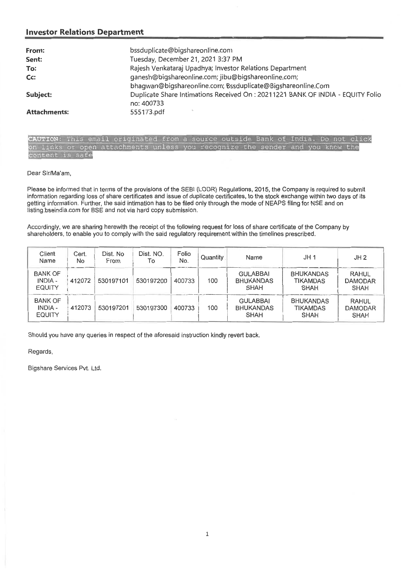#### **Investor Relations Department**

| From:               | bssduplicate@bigshareonline.com                                                |
|---------------------|--------------------------------------------------------------------------------|
| Sent:               | Tuesday, December 21, 2021 3:37 PM                                             |
| To:                 | Rajesh Venkataraj Upadhya; Investor Relations Department                       |
| Cc:                 | ganesh@bigshareonline.com; jibu@bigshareonline.com;                            |
|                     | bhagwan@bigshareonline.com; Bssduplicate@Bigshareonline.Com                    |
| Subject:            | Duplicate Share Intimations Received On: 20211221 BANK OF INDIA - EQUITY Folio |
|                     | no: 400733                                                                     |
| <b>Attachments:</b> | 555173.pdf                                                                     |

|                 |  |  | CAUTION: This email originated from a source outside Bank of India. Do not click |  |  |  |  |  |  |  |
|-----------------|--|--|----------------------------------------------------------------------------------|--|--|--|--|--|--|--|
|                 |  |  | on links or open attachments unless you recognize the sender and you know the    |  |  |  |  |  |  |  |
| content is safe |  |  |                                                                                  |  |  |  |  |  |  |  |

Dear Sir/Ma'am,

Please be informed that in terms of the provisions of the SEBI (LODR) Regulations, 2015, the Company is required to submit information regarding loss of share certificates and issue of duplicate certificates, to the stock exchange within two days of its getting information. Further, the said intimation has to be filed only through the mode of NEAPS filing for NSE and on listing.bseindia.com for BSE and not via hard copy submission.

Accordingly, we are sharing herewith the receipt of the following request for loss of share certificate of the Company by shareholders, to enable you to comply with the said regulatory requirement within the timelines prescribed.

| Client<br>Name                                    | Cert.<br>No. | Dist. No<br>From | Dist. NO.<br>To | Folio<br>No. | Quantity | Name                                               | JH <sub>1</sub>                                    | JH2                                           |
|---------------------------------------------------|--------------|------------------|-----------------|--------------|----------|----------------------------------------------------|----------------------------------------------------|-----------------------------------------------|
| <b>BANK OF</b><br><b>INDIA -</b><br><b>EQUITY</b> | 412072       | 530197101        | 530197200       | 400733       | 100      | <b>GULABBAI</b><br><b>BHUKANDAS</b><br><b>SHAH</b> | <b>BHUKANDAS</b><br><b>TIKAMDAS</b><br><b>SHAH</b> | <b>RAHUL</b><br><b>DAMODAR</b><br><b>SHAH</b> |
| <b>BANK OF</b><br>INDIA -<br><b>EQUITY</b>        | 412073       | 530197201        | 530197300       | 400733       | 100      | <b>GULABBAI</b><br><b>BHUKANDAS</b><br><b>SHAH</b> | <b>BHUKANDAS</b><br><b>TIKAMDAS</b><br><b>SHAH</b> | <b>RAHUL</b><br><b>DAMODAR</b><br><b>SHAH</b> |

Should you have any queries in respect of the aforesaid instruction kindly revert back.

Regards,

Bigshare Services Pvt. Ltd.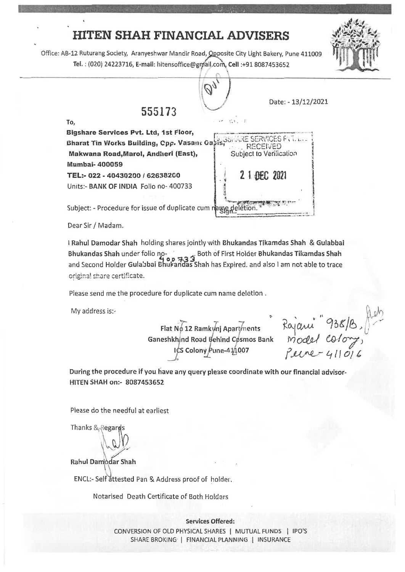## **HITEN SHAH FINANCIAL ADVISERS**

Office: AB-12 Ruturang Society, Aranyeshwar Mandir Road, Opposite City Light Bakery, Pune 411009 Tel. : (020) 24223716, E-mail: hitensoffice@gmail.com, Cell :+91 8087453652



Dear Sir / Madam.

Rahul Damodar Shah holding shares jointly with Bhukandas Tikamdas Shah & Gulabbal Bhukandas Shah under folio no- o both of First Holder Bhukandas Tikamdas Shah<br>and Second Holder Gulabhai Bhukandas Shah her Evnised, and also Lam not able to trees and Second Holder Gulabbai Bhukandas Shah has Expired. and also 1 am not able to trace original share certificate.

Please send me the procedure for duplicate cum name deletion .

My address is:-

Flat No 12 Ramkynj Apartments Ganeshkhind Road Behind Cosmos Bank ICS Colony Pune-41/1007

jani<sup>"</sup> 938/B,  $model$  color *1?-6(iNk-----Lill* 

**,44,6 4411,01.,** 

**.44 .1 --•`'esok,**  <sup>1</sup> 47 14 4°

**t** 

During the procedure if you have any query please coordinate with our financial **advisor-HITEN** SHAH on;- 8087453652

Please do the needful at earliest

Thanks & Regary

Rahul Damiddar Shah

ENCL:- Self attested Pan & Address proof of holder,

Notarised Death Certificate of Both Holders

**Services Offered: CONVERSION OF OLD PHYSICAL SHARES I MUTUAL FUNDS I IPO'S SHARE BROKING I FINANCIAL PLANNING I INSURANCE**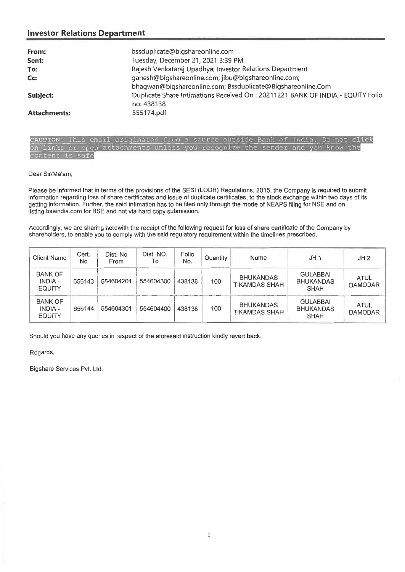#### **Investor Relations Department**

| From:               | bssduplicate@bigshareonline.com                                                 |
|---------------------|---------------------------------------------------------------------------------|
| Sent:               | Tuesday, December 21, 2021 3:39 PM                                              |
| To:                 | Rajesh Venkataraj Upadhya; Investor Relations Department                        |
| $Cc$ :              | ganesh@bigshareonline.com; jibu@bigshareonline.com;                             |
|                     | bhagwan@bigshareonline.com; Bssduplicate@Bigshareonline.Com                     |
| Subject:            | Duplicate Share Intimations Received On : 20211221 BANK OF INDIA - EQUITY Folio |
|                     | no: 438138                                                                      |
| <b>Attachments:</b> | 555174.pdf                                                                      |

CAUTION: This email originated from a source outside Bank of India. Do not click on links or open attachments unless you recognize the sender and you know the nt is safe

Dear Sir/Ma'am,

Please be informed that in terms of the provisions of the SEBI (LODR) Regulations, 2015, the Company is required to submit information regarding loss of share certificates and issue of duplicate certificates, to the stock exchange within two days of its getting information. Further, the said intimation has to be filed only through the mode of NEAPS filing for NSE and on listing.bseindia.com for BSE and not via hard copy submission.

Accordingly, we are sharing herewith the receipt of the following request for loss of share certificate of the Company by shareholders, to enable you to comply with the said regulatory requirement within the timelines prescribed.

| <b>Client Name</b>                                | Cert.<br>No | Dist. No<br><b>From</b> | Dist. NO.<br>To | Folio<br>No. | Quantity | Name                                     | JH <sub>1</sub>                                    | JH2                           |
|---------------------------------------------------|-------------|-------------------------|-----------------|--------------|----------|------------------------------------------|----------------------------------------------------|-------------------------------|
| <b>BANK OF</b><br><b>INDIA -</b><br><b>EQUITY</b> | 656143      | 554604201               | 554604300       | 438138       | 100      | <b>BHUKANDAS</b><br><b>TIKAMDAS SHAH</b> | <b>GULABBAI</b><br><b>BHUKANDAS</b><br><b>SHAH</b> | <b>ATUL</b><br><b>DAMODAR</b> |
| <b>BANK OF</b><br>INDIA -<br><b>EQUITY</b>        | 656144      | 554604301               | 554604400       | 438138       | 100      | <b>BHUKANDAS</b><br><b>TIKAMDAS SHAH</b> | <b>GULABBAI</b><br><b>BHUKANDAS</b><br><b>SHAH</b> | <b>ATUL</b><br><b>DAMODAR</b> |

Should you have any queries in respect of the aforesaid instruction kindly revert back.

Regards,

Bigshare Services Pvt. Ltd.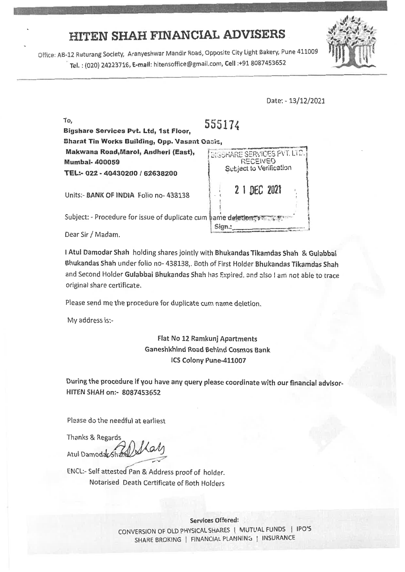# **HITEN SHAH FINANCIAL ADVISERS**

Office: AB-12 Ruturang Society, Aranyeshwar Mandir Road, Opposite City Light Bakery, Pune 411009 Tel.: (020) 24223716, **E-mail:** hitensoffice@gmail.com, **Cell** :+91 8087453652

Date: - 13/12/2021

To, **Bigshare Services Pvt. Ltd, 1st Floor, Bharat Tin Works Building, Opp. Vasant Oasis,** 555174 **Makwana Road,Marol, Andheri (East), Mumbai- 400059 TEL:- 022 - 40430200 162638200**  Units:- **BANK OF INDIA** Folio no- 438138 *BIGSHARE SERVICES PVT. LTD* **RECEIVED** Subject to Verification 2 DEC 2021 Subject: - Procedure for issue of duplicate cum hame deletion: with  $\mathcal{X}$ Dear Sir / Madam. Sign.:

**<sup>I</sup>**Atul Damodar Shah holding shares jointly with Bhukandas Tikamdas Shah & Gulabbai Bhukandas Shah under folio no- 438138,. Both of First Holder Bhukandas Tikamdas Shah and Second Holder Gulabbai Bhukandas Shah has Expired. and also I am not able to trace original share certificate.

Please send me the procedure for duplicate cum name deletion.

My address is:-

Flat No 12 Ramkunj Apartments Ganeshkhind **Road** Behind Cosmos Bank ICS Colony Pune-411007

During the procedure if you have any query please coordinate with our financial advisor-HITEN SHAH on:- 8087453652

Please do the needful at earliest

Thanks & Regards Atul Damodar Sha

ENCL:- Self attested Pan & Address proof of holder. Notarised Death Certificate of Both Holders

> **Services Offered:**  CONVERSION OF OLD PHYSICAL SHARES | MUTUAL FUNDS | IPO'S SHARE BROKING | FINANCIAL PLANNING | INSURANCE

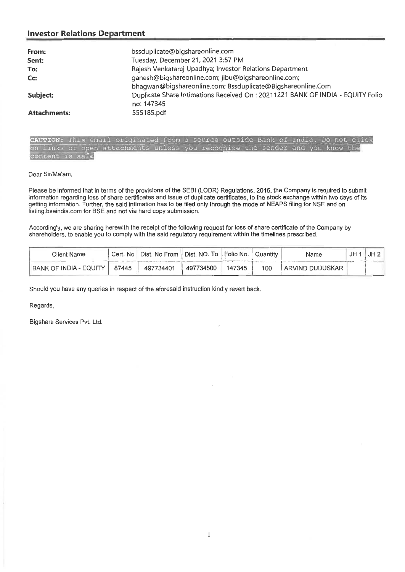#### **Investor Relations Department**

| From:               | bssduplicate@bigshareonline.com                                                 |
|---------------------|---------------------------------------------------------------------------------|
| Sent:               | Tuesday, December 21, 2021 3:57 PM                                              |
| To:                 | Rajesh Venkataraj Upadhya; Investor Relations Department                        |
| C <sub>C</sub>      | ganesh@bigshareonline.com; jibu@bigshareonline.com;                             |
|                     | bhagwan@bigshareonline.com; Bssduplicate@Bigshareonline.Com                     |
| Subject:            | Duplicate Share Intimations Received On : 20211221 BANK OF INDIA - EQUITY Folio |
|                     | no: 147345                                                                      |
| <b>Attachments:</b> | 555185.pdf                                                                      |

CAUTION: This email originated from a source outside Bank of India. Do not click links or open attachments unless you recognize the sender and you know the ent is safe

Dear Sir/Ma'am,

Please be informed that in terms of the provisions of the SEBI (LODR) Regulations, 2015, the Company is required to submit information regarding loss of share certificates and issue of duplicate certificates, to the stock exchange within two days of its getting information. Further, the said intimation has to be filed only through the mode of NEAPS filing for NSE and on listing.bseindia.com for BSE and not via hard copy submission.

Accordingly, we are sharing herewith the receipt of the following request for loss of share certificate of the Company by shareholders, to enable you to comply with the said regulatory requirement within the timelines prescribed.

| Client Name            | Cert. No I | UDist. No From │ Dist. NO. To │ Folio No. │ |           |        | l Quantitv | Name              | JH2 |
|------------------------|------------|---------------------------------------------|-----------|--------|------------|-------------------|-----|
| BANK OF INDIA - EQUITY | 87445      | 497734401                                   | 497734500 | 147345 | 100        | ' ARVIND DUDUSKAR |     |

Should you have any queries in respect of the aforesaid instruction kindly revert back.

Regards,

Bigshare Services Pvt. Ltd.